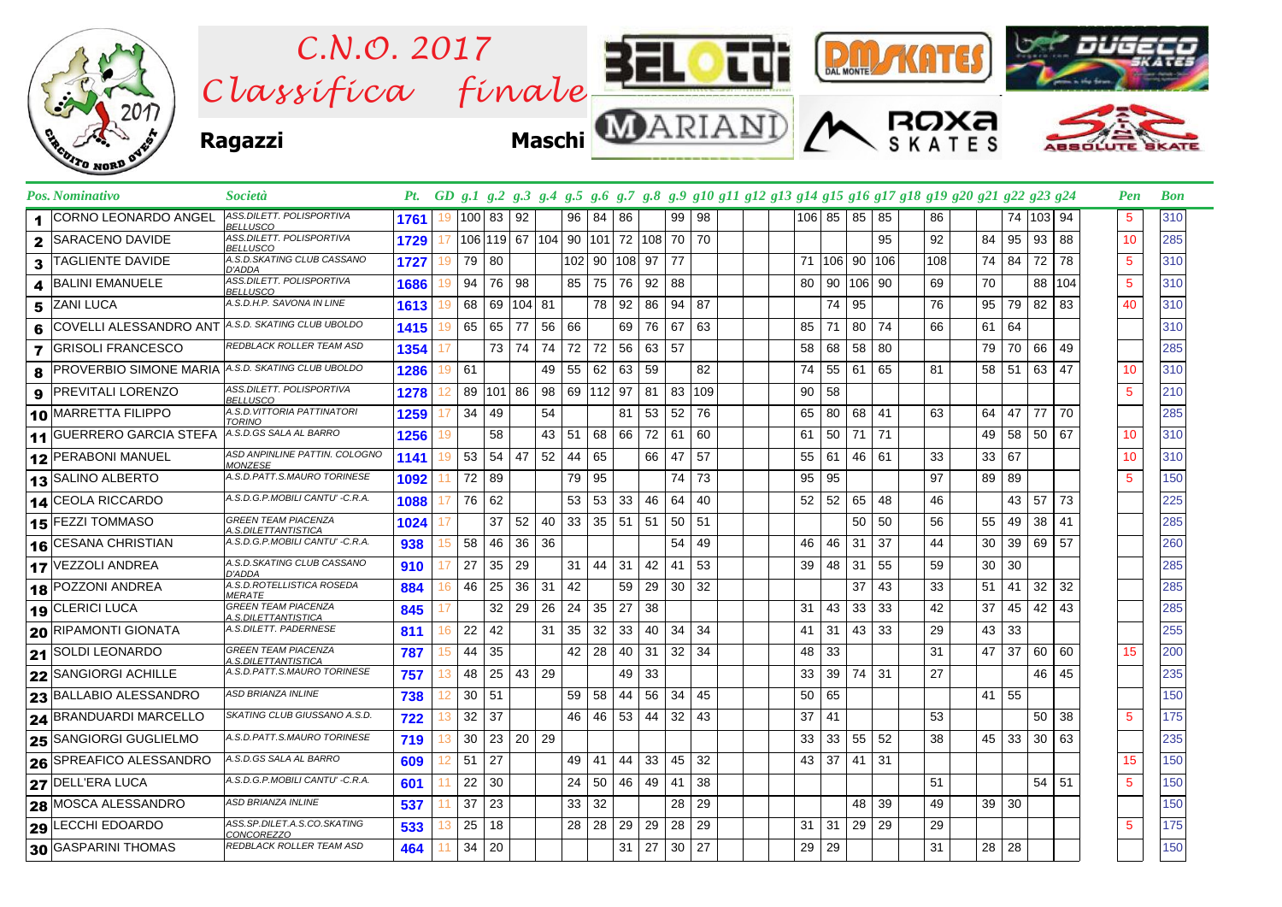

| Pos. Nominativo                    | Società                                            |      |    |       |         |                      |         |              |                                 |       |     |    |     | Pt. GD g.1 g.2 g.3 g.4 g.5 g.6 g.7 g.8 g.9 g10 g11 g12 g13 g14 g15 g16 g17 g18 g19 g20 g21 g22 g23 g24 |    |        |        |     |     |                 |               |    |     | <b>Pen</b>      | <b>Bon</b> |
|------------------------------------|----------------------------------------------------|------|----|-------|---------|----------------------|---------|--------------|---------------------------------|-------|-----|----|-----|--------------------------------------------------------------------------------------------------------|----|--------|--------|-----|-----|-----------------|---------------|----|-----|-----------------|------------|
| <b>CORNO LEONARDO ANGEL</b>        | ASS.DILETT. POLISPORTIVA<br><b>BELLUSCO</b>        | 1761 | 19 | 100   | 83   92 |                      |         | 96           | 84 I                            | 86    |     | 99 | 98  |                                                                                                        |    | 106 85 | 85     | 85  | 86  |                 | 74   103   94 |    |     | 5               | 310        |
| SARACENO DAVIDE<br>$\mathbf{2}$    | ASS.DILETT. POLISPORTIVA<br><b>BELLUSCO</b>        | 1729 | 17 |       |         |                      |         |              | 106 119 67 104 90 101 72 108 70 |       |     |    | 70  |                                                                                                        |    |        |        | 95  | 92  | 84              | 95            | 93 | 88  | 10              | 285        |
| <b>TAGLIENTE DAVIDE</b><br>3       | A.S.D.SKATING CLUB CASSANO<br>D'ADDA               | 1727 | 19 | 79    | 80      |                      |         |              | 102 90 108 97                   |       |     | 77 |     |                                                                                                        | 71 |        | 106 90 | 106 | 108 | 74              | 84            | 72 | 78  | $5\phantom{.0}$ | 310        |
| <b>BALINI EMANUELE</b><br>4        | ASS.DILETT. POLISPORTIVA<br><b>BELLUSCO</b>        | 1686 | 19 | 94    | 76      | -98                  |         | 85           | 75                              | 76    | 92  | 88 |     |                                                                                                        | 80 | 90     | 106 90 |     | 69  | 70              |               | 88 | 104 | $5\phantom{.0}$ | 310        |
| <b>ZANI LUCA</b><br>5.             | A.S.D.H.P. SAVONA IN LINE                          | 1613 | 19 | 68    |         | 69 104 81            |         |              | 78                              | 92    | 86  | 94 | 87  |                                                                                                        |    | 74     | 95     |     | 76  | 95              | 79            | 82 | 83  | 40              | 310        |
| <b>COVELLI ALESSANDRO ANT</b><br>6 | A.S.D. SKATING CLUB UBOLDO                         | 1415 | 19 | 65    | 65      | 77                   | 56 66   |              |                                 | 69    | 76  | 67 | 63  |                                                                                                        | 85 | 71     | 80     | 74  | 66  | 61              | 64            |    |     |                 | 310        |
| <b>GRISOLI FRANCESCO</b><br>7      | REDBLACK ROLLER TEAM ASD                           | 1354 | 17 |       | 73      | 74                   | 74   72 |              | 72                              | 56    | 63  | 57 |     |                                                                                                        | 58 | 68     | 58     | 80  |     | 79              | 70            | 66 | 49  |                 | 285        |
| <b>PROVERBIO SIMONE MARIA</b><br>8 | A.S.D. SKATING CLUB UBOLDO                         | 1286 | 19 | 61    |         |                      |         | 49 55        | 62                              | 63    | 59  |    | 82  |                                                                                                        | 74 | 55     | 61     | 65  | 81  | 58              | 51            | 63 | 47  | 10              | 310        |
| <b>PREVITALI LORENZO</b><br>9      | <b>ASS.DILETT. POLISPORTIVA</b><br><b>BELLUSCO</b> | 1278 | 12 | 89    | 101 86  |                      |         |              | 98 69 112 97                    |       | -81 | 83 | 109 |                                                                                                        | 90 | 58     |        |     |     |                 |               |    |     | $5\phantom{.0}$ | 210        |
| 10 MARRETTA FILIPPO                | A.S.D.VITTORIA PATTINATORI<br><b>TORINO</b>        | 1259 |    | 34    | 49      |                      | 54      |              |                                 | 81    | 53  | 52 | 76  |                                                                                                        | 65 | 80     | 68     | 41  | 63  | 64              | 47            | 77 | 70  |                 | 285        |
| 11 GUERRERO GARCIA STEFA           | A.S.D.GS SALA AL BARRO                             | 1256 | 19 |       | 58      |                      |         | 43   51      | 68                              | 66 I  | 72  | 61 | 60  |                                                                                                        | 61 | 50     | 71     | 71  |     | 49              | 58            | 50 | 67  | 10              | 310        |
| 12 PERABONI MANUEL                 | ASD ANPINLINE PATTIN. COLOGNO<br><b>MONZESE</b>    | 1141 | 19 | 53    | 54      | 47                   | 52      | -44          | 65                              |       | 66  | 47 | 57  |                                                                                                        | 55 | 61     | 46     | 61  | 33  | 33              | 67            |    |     | 10              | 310        |
| 13 SALINO ALBERTO                  | A.S.D.PATT.S.MAURO TORINESE                        | 1092 |    | 72 89 |         |                      |         | 79           | 95                              |       |     | 74 | 73  |                                                                                                        | 95 | 95     |        |     | 97  | 89              | 89            |    |     | $5\phantom{.0}$ | 150        |
| 14 CEOLA RICCARDO                  | A.S.D.G.P.MOBILI CANTU' -C.R.A.                    | 1088 | 17 | 76    | 62      |                      |         | 53           | 53                              | 33    | 46  | 64 | 40  |                                                                                                        | 52 | 52     | 65     | 48  | 46  |                 | 43            | 57 | 73  |                 | 225        |
| <b>15 FEZZI TOMMASO</b>            | <b>GREEN TEAM PIACENZA</b><br>A.S.DILETTANTISTICA  | 1024 |    |       | 37      | 52                   | 40      | 33           | 35                              | 51 51 |     | 50 | 51  |                                                                                                        |    |        | 50     | 50  | 56  | 55              | 49            | 38 | 41  |                 | 285        |
| 16 CESANA CHRISTIAN                | A.S.D.G.P.MOBILI CANTU' -C.R.A.                    | 938  | 15 | 58    | 46      | 36                   | 36      |              |                                 |       |     | 54 | 49  |                                                                                                        | 46 | 46     | 31     | 37  | 44  | 30              | 39            | 69 | 57  |                 | 260        |
| 17 VEZZOLI ANDREA                  | A.S.D.SKATING CLUB CASSANO<br>D'ADDA               | 910  | 17 | 27    | 35      | -29                  |         | 31           | 44                              | 31    | 42  | 41 | 53  |                                                                                                        | 39 | 48     | 31     | 55  | 59  | 30 <sup>1</sup> | 30            |    |     |                 | 285        |
| 18 POZZONI ANDREA                  | A.S.D.ROTELLISTICA ROSEDA<br><i>MERATE</i>         | 884  | 16 | 46    | 25      | 36                   | 31      | 42           |                                 | 59    | 29  | 30 | 32  |                                                                                                        |    |        | 37     | 43  | 33  | 51              | 41            | 32 | 32  |                 | 285        |
| 19 CLERICI LUCA                    | <b>GREEN TEAM PIACENZA</b><br>A.S.DILETTANTISTICA  | 845  | 17 |       | 32      | 29                   | 26      | 24           | 35                              | 27    | 38  |    |     |                                                                                                        | 31 | 43     | 33     | 33  | 42  | 37              | 45            | 42 | 43  |                 | 285        |
| <b>20 RIPAMONTI GIONATA</b>        | A.S.DILETT. PADERNESE                              | 811  | 16 | 22    | 42      |                      |         | $31 \mid 35$ | 32                              | 33    | 40  | 34 | -34 |                                                                                                        | 41 | 31     | 43     | -33 | 29  | 43              | 33            |    |     |                 | 255        |
| 21 SOLDI LEONARDO                  | <b>GREEN TEAM PIACENZA</b><br>A.S.DILETTANTISTICA  | 787  | 15 | 44    | 35      |                      |         | 42           | 28                              | 40    | 31  | 32 | -34 |                                                                                                        | 48 | 33     |        |     | 31  | 47              | 37            | 60 | 60  | 15              | 200        |
| 22 SANGIORGI ACHILLE               | A.S.D.PATT.S.MAURO TORINESE                        | 757  | 13 | 48    | 25      | 43 29                |         |              |                                 | 49    | 33  |    |     |                                                                                                        | 33 | 39     | 74     | -31 | 27  |                 |               | 46 | 45  |                 | 235        |
| 23 BALLABIO ALESSANDRO             | ASD BRIANZA INLINE                                 | 738  | 12 | 30    | 51      |                      |         | 59           | 58                              | 44    | 56  | 34 | 45  |                                                                                                        | 50 | 65     |        |     |     | 41              | 55            |    |     |                 | 150        |
| 24 BRANDUARDI MARCELLO             | SKATING CLUB GIUSSANO A.S.D.                       | 722  | 13 | 32    | 37      |                      |         | 46           | 46                              | 53 44 |     | 32 | 43  |                                                                                                        | 37 | 41     |        |     | 53  |                 |               | 50 | 38  | $5\phantom{.0}$ | 175        |
| 25 SANGIORGI GUGLIELMO             | A.S.D.PATT.S.MAURO TORINESE                        | 719  | 13 | 30    |         | $23 \mid 20 \mid 29$ |         |              |                                 |       |     |    |     |                                                                                                        | 33 | 33     | 55     | 52  | 38  | 45              | 33            | 30 | 63  |                 | 235        |
| <b>26 SPREAFICO ALESSANDRO</b>     | A.S.D.GS SALA AL BARRO                             | 609  | 12 | 51    | 27      |                      |         | 49           | 41                              | 44    | 33  | 45 | 32  |                                                                                                        | 43 | 37     | 41     | -31 |     |                 |               |    |     | 15              | 150        |
| 27 DELL'ERA LUCA                   | A.S.D.G.P.MOBILI CANTU' -C.R.A.                    | 601  | 11 | 22    | 30      |                      |         | 24           | 50                              | 46    | 49  | 41 | 38  |                                                                                                        |    |        |        |     | 51  |                 |               | 54 | 51  | $5\phantom{.0}$ | 150        |
| 28 MOSCA ALESSANDRO                | ASD BRIANZA INLINE                                 | 537  | 11 | 37    | 23      |                      |         | 33           | 32                              |       |     | 28 | 29  |                                                                                                        |    |        | 48     | 39  | 49  |                 | 39   30       |    |     |                 | 150        |
| 29 LECCHI EDOARDO                  | ASS.SP.DILET.A.S.CO.SKATING<br><i>CONCOREZZO</i>   | 533  | 13 | 25    | 18      |                      |         | 28           | 28                              | 29    | 29  | 28 | 29  |                                                                                                        | 31 | 31     | 29     | 29  | 29  |                 |               |    |     | 5               | 175        |
| 30 GASPARINI THOMAS                | REDBLACK ROLLER TEAM ASD                           | 464  | 11 | 34    | 20      |                      |         |              |                                 | 31    | 27  | 30 | 27  |                                                                                                        | 29 | 29     |        |     | 31  | 28 I            | 28            |    |     |                 | 150        |